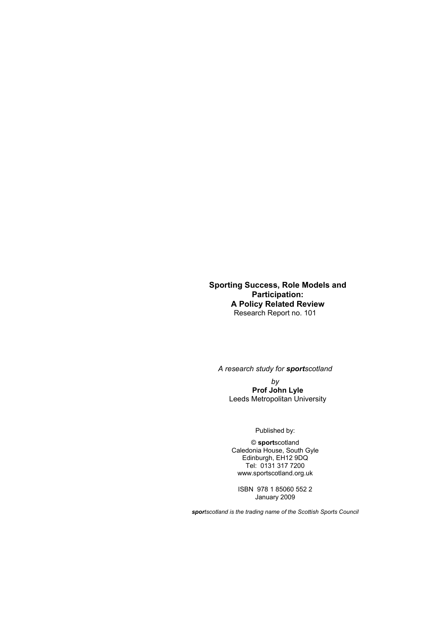**Sporting Success, Role Models and Participation: A Policy Related Review**  Research Report no. 101

*A research study for sportscotland* 

*by*  **Prof John Lyle**  Leeds Metropolitan University

Published by:

© **sport**scotland Caledonia House, South Gyle Edinburgh, EH12 9DQ Tel: 0131 317 7200 www.sportscotland.org.uk

ISBN 978 1 85060 552 2 January 2009

*sportscotland is the trading name of the Scottish Sports Council*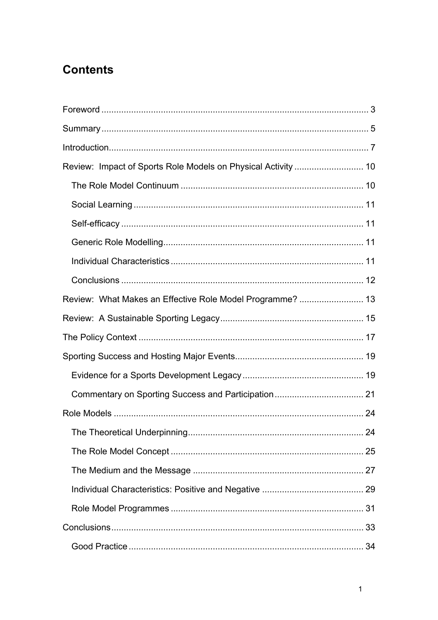# **Contents**

| Review: What Makes an Effective Role Model Programme?  13 |    |
|-----------------------------------------------------------|----|
|                                                           |    |
|                                                           |    |
|                                                           |    |
|                                                           |    |
|                                                           |    |
|                                                           |    |
|                                                           | 24 |
|                                                           |    |
|                                                           |    |
|                                                           |    |
|                                                           |    |
|                                                           |    |
|                                                           |    |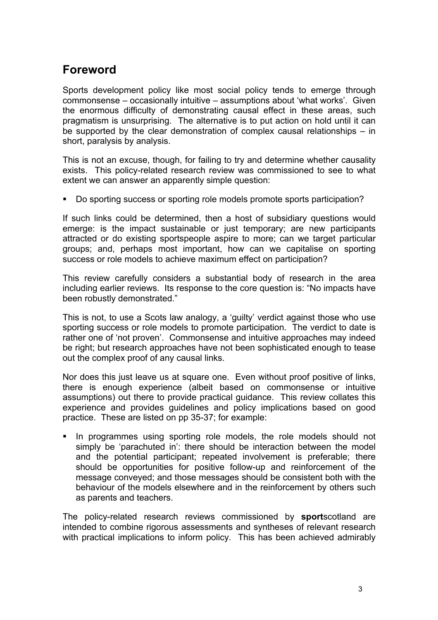## **Foreword**

Sports development policy like most social policy tends to emerge through commonsense – occasionally intuitive – assumptions about 'what works'. Given the enormous difficulty of demonstrating causal effect in these areas, such pragmatism is unsurprising. The alternative is to put action on hold until it can be supported by the clear demonstration of complex causal relationships – in short, paralysis by analysis.

This is not an excuse, though, for failing to try and determine whether causality exists. This policy-related research review was commissioned to see to what extent we can answer an apparently simple question:

Do sporting success or sporting role models promote sports participation?

If such links could be determined, then a host of subsidiary questions would emerge: is the impact sustainable or just temporary; are new participants attracted or do existing sportspeople aspire to more; can we target particular groups; and, perhaps most important, how can we capitalise on sporting success or role models to achieve maximum effect on participation?

This review carefully considers a substantial body of research in the area including earlier reviews. Its response to the core question is: "No impacts have been robustly demonstrated."

This is not, to use a Scots law analogy, a 'guilty' verdict against those who use sporting success or role models to promote participation. The verdict to date is rather one of 'not proven'. Commonsense and intuitive approaches may indeed be right; but research approaches have not been sophisticated enough to tease out the complex proof of any causal links.

Nor does this just leave us at square one. Even without proof positive of links, there is enough experience (albeit based on commonsense or intuitive assumptions) out there to provide practical guidance. This review collates this experience and provides guidelines and policy implications based on good practice. These are listed on pp 35-37; for example:

 In programmes using sporting role models, the role models should not simply be 'parachuted in': there should be interaction between the model and the potential participant; repeated involvement is preferable; there should be opportunities for positive follow-up and reinforcement of the message conveyed; and those messages should be consistent both with the behaviour of the models elsewhere and in the reinforcement by others such as parents and teachers.

The policy-related research reviews commissioned by **sport**scotland are intended to combine rigorous assessments and syntheses of relevant research with practical implications to inform policy. This has been achieved admirably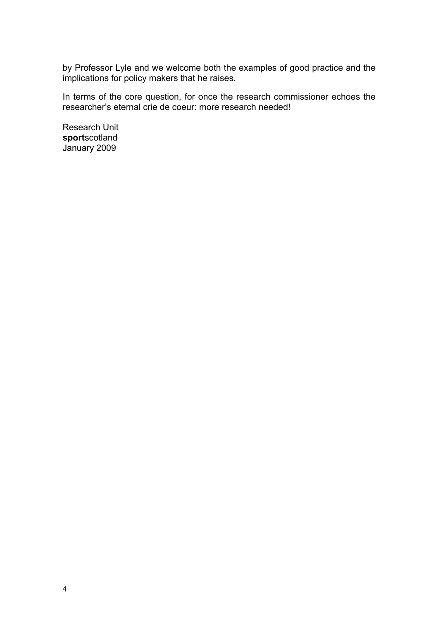by Professor Lyle and we welcome both the examples of good practice and the implications for policy makers that he raises.

In terms of the core question, for once the research commissioner echoes the researcher's eternal crie de coeur: more research needed!

Research Unit **sport**scotland January 2009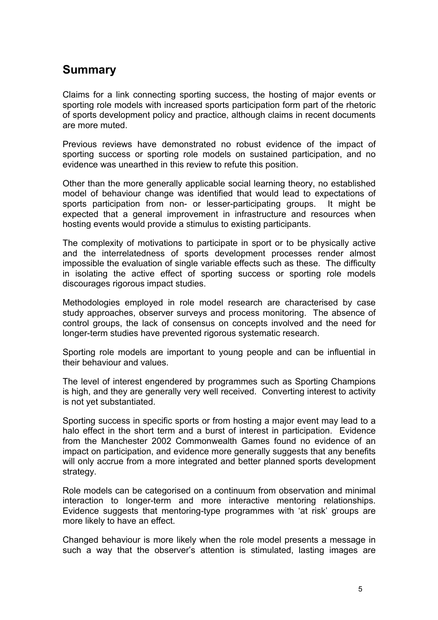### **Summary**

Claims for a link connecting sporting success, the hosting of major events or sporting role models with increased sports participation form part of the rhetoric of sports development policy and practice, although claims in recent documents are more muted.

Previous reviews have demonstrated no robust evidence of the impact of sporting success or sporting role models on sustained participation, and no evidence was unearthed in this review to refute this position.

Other than the more generally applicable social learning theory, no established model of behaviour change was identified that would lead to expectations of sports participation from non- or lesser-participating groups. It might be expected that a general improvement in infrastructure and resources when hosting events would provide a stimulus to existing participants.

The complexity of motivations to participate in sport or to be physically active and the interrelatedness of sports development processes render almost impossible the evaluation of single variable effects such as these. The difficulty in isolating the active effect of sporting success or sporting role models discourages rigorous impact studies.

Methodologies employed in role model research are characterised by case study approaches, observer surveys and process monitoring. The absence of control groups, the lack of consensus on concepts involved and the need for longer-term studies have prevented rigorous systematic research.

Sporting role models are important to young people and can be influential in their behaviour and values.

The level of interest engendered by programmes such as Sporting Champions is high, and they are generally very well received. Converting interest to activity is not yet substantiated.

Sporting success in specific sports or from hosting a major event may lead to a halo effect in the short term and a burst of interest in participation. Evidence from the Manchester 2002 Commonwealth Games found no evidence of an impact on participation, and evidence more generally suggests that any benefits will only accrue from a more integrated and better planned sports development strategy.

Role models can be categorised on a continuum from observation and minimal interaction to longer-term and more interactive mentoring relationships. Evidence suggests that mentoring-type programmes with 'at risk' groups are more likely to have an effect.

Changed behaviour is more likely when the role model presents a message in such a way that the observer's attention is stimulated, lasting images are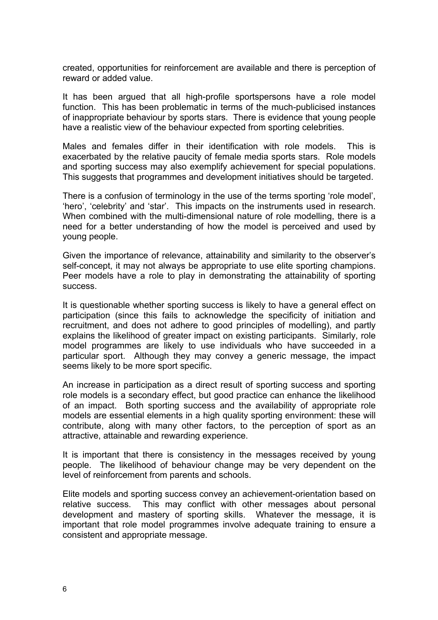created, opportunities for reinforcement are available and there is perception of reward or added value.

It has been argued that all high-profile sportspersons have a role model function. This has been problematic in terms of the much-publicised instances of inappropriate behaviour by sports stars. There is evidence that young people have a realistic view of the behaviour expected from sporting celebrities.

Males and females differ in their identification with role models. This is exacerbated by the relative paucity of female media sports stars. Role models and sporting success may also exemplify achievement for special populations. This suggests that programmes and development initiatives should be targeted.

There is a confusion of terminology in the use of the terms sporting 'role model', 'hero', 'celebrity' and 'star'. This impacts on the instruments used in research. When combined with the multi-dimensional nature of role modelling, there is a need for a better understanding of how the model is perceived and used by young people.

Given the importance of relevance, attainability and similarity to the observer's self-concept, it may not always be appropriate to use elite sporting champions. Peer models have a role to play in demonstrating the attainability of sporting success.

It is questionable whether sporting success is likely to have a general effect on participation (since this fails to acknowledge the specificity of initiation and recruitment, and does not adhere to good principles of modelling), and partly explains the likelihood of greater impact on existing participants. Similarly, role model programmes are likely to use individuals who have succeeded in a particular sport. Although they may convey a generic message, the impact seems likely to be more sport specific.

An increase in participation as a direct result of sporting success and sporting role models is a secondary effect, but good practice can enhance the likelihood of an impact. Both sporting success and the availability of appropriate role models are essential elements in a high quality sporting environment: these will contribute, along with many other factors, to the perception of sport as an attractive, attainable and rewarding experience.

It is important that there is consistency in the messages received by young people. The likelihood of behaviour change may be very dependent on the level of reinforcement from parents and schools.

Elite models and sporting success convey an achievement-orientation based on relative success. This may conflict with other messages about personal development and mastery of sporting skills. Whatever the message, it is important that role model programmes involve adequate training to ensure a consistent and appropriate message.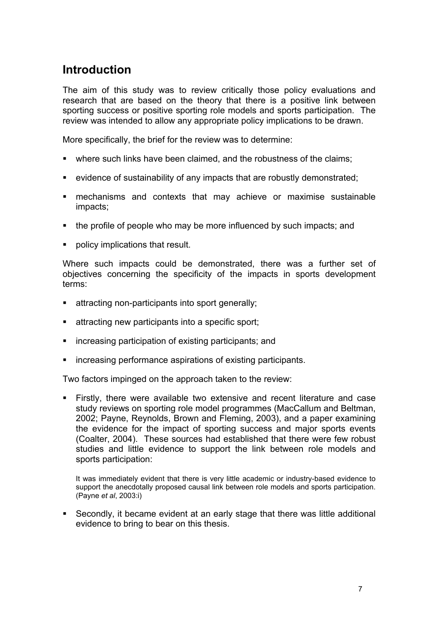## **Introduction**

The aim of this study was to review critically those policy evaluations and research that are based on the theory that there is a positive link between sporting success or positive sporting role models and sports participation. The review was intended to allow any appropriate policy implications to be drawn.

More specifically, the brief for the review was to determine:

- where such links have been claimed, and the robustness of the claims;
- evidence of sustainability of any impacts that are robustly demonstrated;
- mechanisms and contexts that may achieve or maximise sustainable impacts;
- the profile of people who may be more influenced by such impacts; and
- policy implications that result.

Where such impacts could be demonstrated, there was a further set of objectives concerning the specificity of the impacts in sports development terms:

- **EXECUTE:** attracting non-participants into sport generally;
- attracting new participants into a specific sport;
- increasing participation of existing participants; and
- increasing performance aspirations of existing participants.

Two factors impinged on the approach taken to the review:

 Firstly, there were available two extensive and recent literature and case study reviews on sporting role model programmes (MacCallum and Beltman, 2002; Payne, Reynolds, Brown and Fleming, 2003), and a paper examining the evidence for the impact of sporting success and major sports events (Coalter, 2004). These sources had established that there were few robust studies and little evidence to support the link between role models and sports participation:

It was immediately evident that there is very little academic or industry-based evidence to support the anecdotally proposed causal link between role models and sports participation. (Payne *et al*, 2003:i)

 Secondly, it became evident at an early stage that there was little additional evidence to bring to bear on this thesis.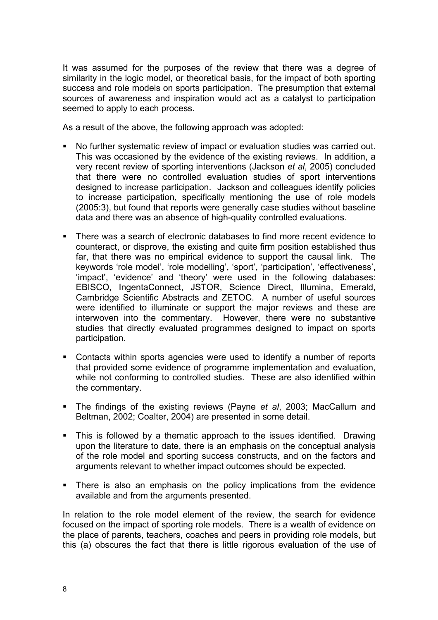It was assumed for the purposes of the review that there was a degree of similarity in the logic model, or theoretical basis, for the impact of both sporting success and role models on sports participation. The presumption that external sources of awareness and inspiration would act as a catalyst to participation seemed to apply to each process.

As a result of the above, the following approach was adopted:

- No further systematic review of impact or evaluation studies was carried out. This was occasioned by the evidence of the existing reviews. In addition, a very recent review of sporting interventions (Jackson *et al*, 2005) concluded that there were no controlled evaluation studies of sport interventions designed to increase participation. Jackson and colleagues identify policies to increase participation, specifically mentioning the use of role models (2005:3), but found that reports were generally case studies without baseline data and there was an absence of high-quality controlled evaluations.
- There was a search of electronic databases to find more recent evidence to counteract, or disprove, the existing and quite firm position established thus far, that there was no empirical evidence to support the causal link. The keywords 'role model', 'role modelling', 'sport', 'participation', 'effectiveness', 'impact', 'evidence' and 'theory' were used in the following databases: EBISCO, IngentaConnect, JSTOR, Science Direct, Illumina, Emerald, Cambridge Scientific Abstracts and ZETOC. A number of useful sources were identified to illuminate or support the major reviews and these are interwoven into the commentary. However, there were no substantive studies that directly evaluated programmes designed to impact on sports participation.
- Contacts within sports agencies were used to identify a number of reports that provided some evidence of programme implementation and evaluation, while not conforming to controlled studies. These are also identified within the commentary.
- The findings of the existing reviews (Payne *et al*, 2003; MacCallum and Beltman, 2002; Coalter, 2004) are presented in some detail.
- This is followed by a thematic approach to the issues identified. Drawing upon the literature to date, there is an emphasis on the conceptual analysis of the role model and sporting success constructs, and on the factors and arguments relevant to whether impact outcomes should be expected.
- There is also an emphasis on the policy implications from the evidence available and from the arguments presented.

In relation to the role model element of the review, the search for evidence focused on the impact of sporting role models. There is a wealth of evidence on the place of parents, teachers, coaches and peers in providing role models, but this (a) obscures the fact that there is little rigorous evaluation of the use of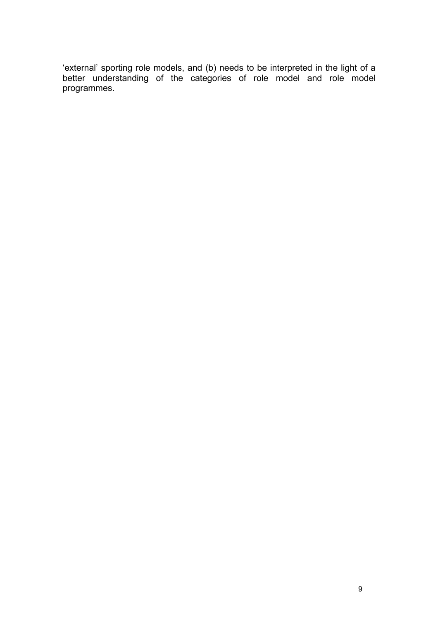'external' sporting role models, and (b) needs to be interpreted in the light of a better understanding of the categories of role model and role model programmes.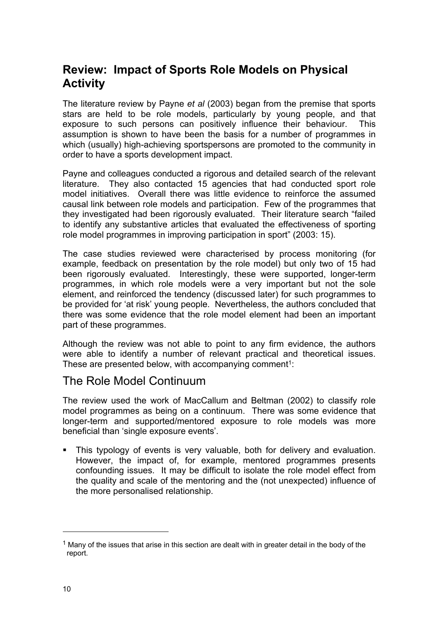## **Review: Impact of Sports Role Models on Physical Activity**

The literature review by Payne *et al* (2003) began from the premise that sports stars are held to be role models, particularly by young people, and that exposure to such persons can positively influence their behaviour. This assumption is shown to have been the basis for a number of programmes in which (usually) high-achieving sportspersons are promoted to the community in order to have a sports development impact.

Payne and colleagues conducted a rigorous and detailed search of the relevant literature. They also contacted 15 agencies that had conducted sport role model initiatives. Overall there was little evidence to reinforce the assumed causal link between role models and participation. Few of the programmes that they investigated had been rigorously evaluated. Their literature search "failed to identify any substantive articles that evaluated the effectiveness of sporting role model programmes in improving participation in sport" (2003: 15).

The case studies reviewed were characterised by process monitoring (for example, feedback on presentation by the role model) but only two of 15 had been rigorously evaluated. Interestingly, these were supported, longer-term programmes, in which role models were a very important but not the sole element, and reinforced the tendency (discussed later) for such programmes to be provided for 'at risk' young people. Nevertheless, the authors concluded that there was some evidence that the role model element had been an important part of these programmes.

Although the review was not able to point to any firm evidence, the authors were able to identify a number of relevant practical and theoretical issues. These are presented below, with accompanying comment<sup>1</sup>:

### The Role Model Continuum

The review used the work of MacCallum and Beltman (2002) to classify role model programmes as being on a continuum. There was some evidence that longer-term and supported/mentored exposure to role models was more beneficial than 'single exposure events'.

• This typology of events is very valuable, both for delivery and evaluation. However, the impact of, for example, mentored programmes presents confounding issues. It may be difficult to isolate the role model effect from the quality and scale of the mentoring and the (not unexpected) influence of the more personalised relationship.

 $<sup>1</sup>$  Many of the issues that arise in this section are dealt with in greater detail in the body of the</sup> report.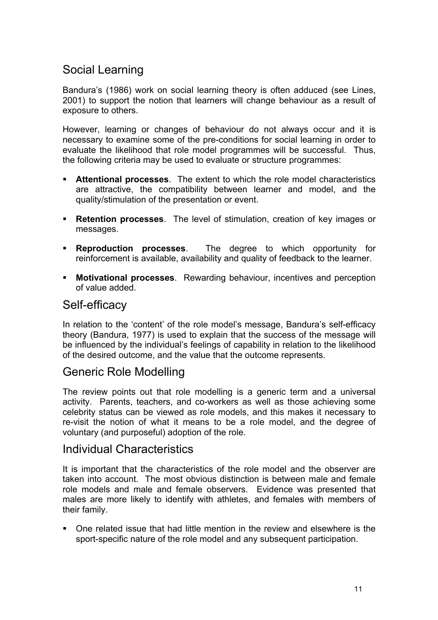## Social Learning

Bandura's (1986) work on social learning theory is often adduced (see Lines, 2001) to support the notion that learners will change behaviour as a result of exposure to others.

However, learning or changes of behaviour do not always occur and it is necessary to examine some of the pre-conditions for social learning in order to evaluate the likelihood that role model programmes will be successful. Thus, the following criteria may be used to evaluate or structure programmes:

- **Attentional processes**. The extent to which the role model characteristics are attractive, the compatibility between learner and model, and the quality/stimulation of the presentation or event.
- **Retention processes**. The level of stimulation, creation of key images or messages.
- **Reproduction processes**. The degree to which opportunity for reinforcement is available, availability and quality of feedback to the learner.
- **Motivational processes**. Rewarding behaviour, incentives and perception of value added.

#### Self-efficacy

In relation to the 'content' of the role model's message, Bandura's self-efficacy theory (Bandura, 1977) is used to explain that the success of the message will be influenced by the individual's feelings of capability in relation to the likelihood of the desired outcome, and the value that the outcome represents.

### Generic Role Modelling

The review points out that role modelling is a generic term and a universal activity. Parents, teachers, and co-workers as well as those achieving some celebrity status can be viewed as role models, and this makes it necessary to re-visit the notion of what it means to be a role model, and the degree of voluntary (and purposeful) adoption of the role.

#### Individual Characteristics

It is important that the characteristics of the role model and the observer are taken into account. The most obvious distinction is between male and female role models and male and female observers. Evidence was presented that males are more likely to identify with athletes, and females with members of their family.

 One related issue that had little mention in the review and elsewhere is the sport-specific nature of the role model and any subsequent participation.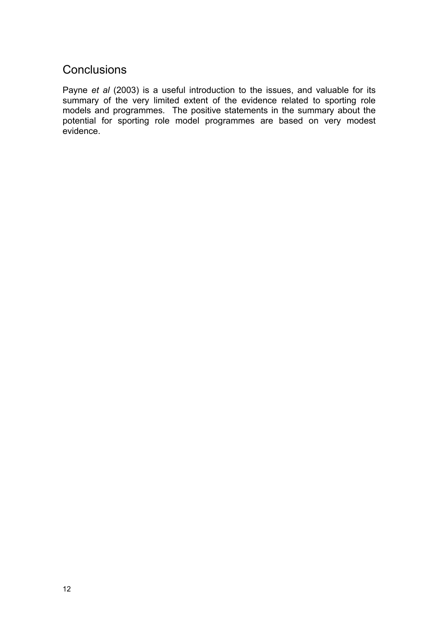### **Conclusions**

Payne *et al* (2003) is a useful introduction to the issues, and valuable for its summary of the very limited extent of the evidence related to sporting role models and programmes. The positive statements in the summary about the potential for sporting role model programmes are based on very modest evidence.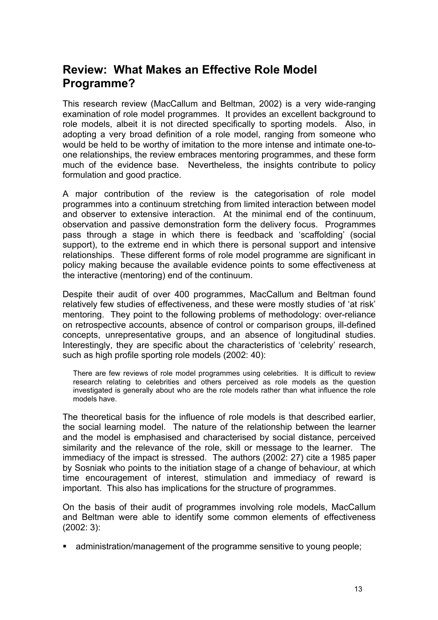### **Review: What Makes an Effective Role Model Programme?**

This research review (MacCallum and Beltman, 2002) is a very wide-ranging examination of role model programmes. It provides an excellent background to role models, albeit it is not directed specifically to sporting models. Also, in adopting a very broad definition of a role model, ranging from someone who would be held to be worthy of imitation to the more intense and intimate one-toone relationships, the review embraces mentoring programmes, and these form much of the evidence base. Nevertheless, the insights contribute to policy formulation and good practice.

A major contribution of the review is the categorisation of role model programmes into a continuum stretching from limited interaction between model and observer to extensive interaction. At the minimal end of the continuum, observation and passive demonstration form the delivery focus. Programmes pass through a stage in which there is feedback and 'scaffolding' (social support), to the extreme end in which there is personal support and intensive relationships. These different forms of role model programme are significant in policy making because the available evidence points to some effectiveness at the interactive (mentoring) end of the continuum.

Despite their audit of over 400 programmes, MacCallum and Beltman found relatively few studies of effectiveness, and these were mostly studies of 'at risk' mentoring. They point to the following problems of methodology: over-reliance on retrospective accounts, absence of control or comparison groups, ill-defined concepts, unrepresentative groups, and an absence of longitudinal studies. Interestingly, they are specific about the characteristics of 'celebrity' research, such as high profile sporting role models (2002: 40):

There are few reviews of role model programmes using celebrities. It is difficult to review research relating to celebrities and others perceived as role models as the question investigated is generally about who are the role models rather than what influence the role models have.

The theoretical basis for the influence of role models is that described earlier, the social learning model. The nature of the relationship between the learner and the model is emphasised and characterised by social distance, perceived similarity and the relevance of the role, skill or message to the learner. The immediacy of the impact is stressed. The authors (2002: 27) cite a 1985 paper by Sosniak who points to the initiation stage of a change of behaviour, at which time encouragement of interest, stimulation and immediacy of reward is important. This also has implications for the structure of programmes.

On the basis of their audit of programmes involving role models, MacCallum and Beltman were able to identify some common elements of effectiveness (2002: 3):

administration/management of the programme sensitive to young people;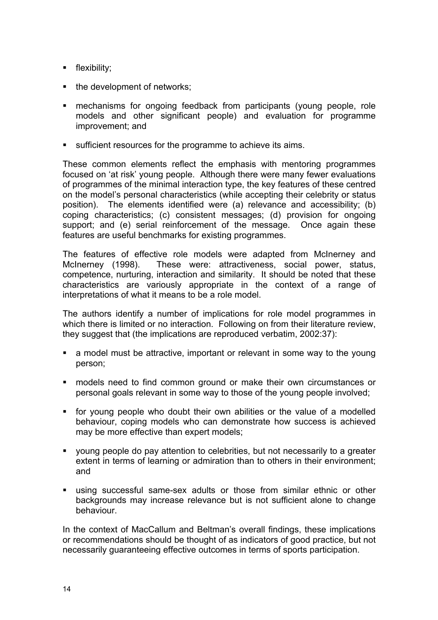- **flexibility;**
- the development of networks;
- mechanisms for ongoing feedback from participants (young people, role models and other significant people) and evaluation for programme improvement; and
- sufficient resources for the programme to achieve its aims.

These common elements reflect the emphasis with mentoring programmes focused on 'at risk' young people. Although there were many fewer evaluations of programmes of the minimal interaction type, the key features of these centred on the model's personal characteristics (while accepting their celebrity or status position). The elements identified were (a) relevance and accessibility; (b) coping characteristics; (c) consistent messages; (d) provision for ongoing support; and (e) serial reinforcement of the message. Once again these features are useful benchmarks for existing programmes.

The features of effective role models were adapted from McInerney and McInerney (1998). These were: attractiveness, social power, status, competence, nurturing, interaction and similarity. It should be noted that these characteristics are variously appropriate in the context of a range of interpretations of what it means to be a role model.

The authors identify a number of implications for role model programmes in which there is limited or no interaction. Following on from their literature review, they suggest that (the implications are reproduced verbatim, 2002:37):

- a model must be attractive, important or relevant in some way to the young person;
- **namble is need to find common ground or make their own circumstances or** personal goals relevant in some way to those of the young people involved;
- for young people who doubt their own abilities or the value of a modelled behaviour, coping models who can demonstrate how success is achieved may be more effective than expert models;
- young people do pay attention to celebrities, but not necessarily to a greater extent in terms of learning or admiration than to others in their environment; and
- using successful same-sex adults or those from similar ethnic or other backgrounds may increase relevance but is not sufficient alone to change behaviour.

In the context of MacCallum and Beltman's overall findings, these implications or recommendations should be thought of as indicators of good practice, but not necessarily guaranteeing effective outcomes in terms of sports participation.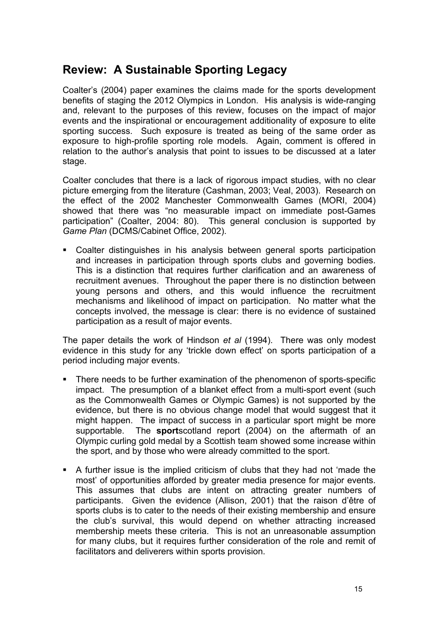## **Review: A Sustainable Sporting Legacy**

Coalter's (2004) paper examines the claims made for the sports development benefits of staging the 2012 Olympics in London. His analysis is wide-ranging and, relevant to the purposes of this review, focuses on the impact of major events and the inspirational or encouragement additionality of exposure to elite sporting success. Such exposure is treated as being of the same order as exposure to high-profile sporting role models. Again, comment is offered in relation to the author's analysis that point to issues to be discussed at a later stage.

Coalter concludes that there is a lack of rigorous impact studies, with no clear picture emerging from the literature (Cashman, 2003; Veal, 2003). Research on the effect of the 2002 Manchester Commonwealth Games (MORI, 2004) showed that there was "no measurable impact on immediate post-Games participation" (Coalter, 2004: 80). This general conclusion is supported by *Game Plan* (DCMS/Cabinet Office, 2002).

 Coalter distinguishes in his analysis between general sports participation and increases in participation through sports clubs and governing bodies. This is a distinction that requires further clarification and an awareness of recruitment avenues. Throughout the paper there is no distinction between young persons and others, and this would influence the recruitment mechanisms and likelihood of impact on participation. No matter what the concepts involved, the message is clear: there is no evidence of sustained participation as a result of major events.

The paper details the work of Hindson *et al* (1994). There was only modest evidence in this study for any 'trickle down effect' on sports participation of a period including major events.

- There needs to be further examination of the phenomenon of sports-specific impact. The presumption of a blanket effect from a multi-sport event (such as the Commonwealth Games or Olympic Games) is not supported by the evidence, but there is no obvious change model that would suggest that it might happen. The impact of success in a particular sport might be more supportable. The **sport**scotland report (2004) on the aftermath of an Olympic curling gold medal by a Scottish team showed some increase within the sport, and by those who were already committed to the sport.
- A further issue is the implied criticism of clubs that they had not 'made the most' of opportunities afforded by greater media presence for major events. This assumes that clubs are intent on attracting greater numbers of participants. Given the evidence (Allison, 2001) that the raison d'être of sports clubs is to cater to the needs of their existing membership and ensure the club's survival, this would depend on whether attracting increased membership meets these criteria. This is not an unreasonable assumption for many clubs, but it requires further consideration of the role and remit of facilitators and deliverers within sports provision.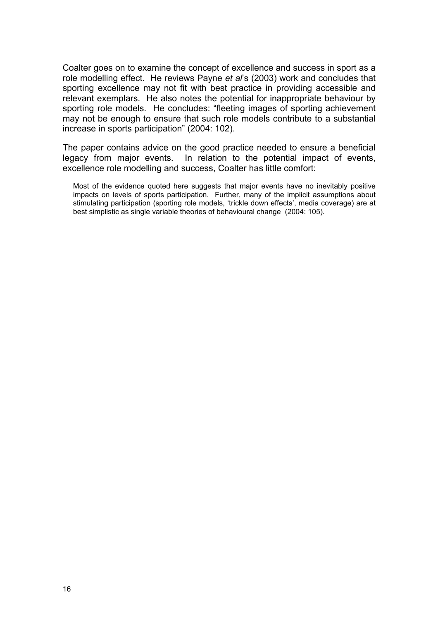Coalter goes on to examine the concept of excellence and success in sport as a role modelling effect. He reviews Payne *et al*'s (2003) work and concludes that sporting excellence may not fit with best practice in providing accessible and relevant exemplars. He also notes the potential for inappropriate behaviour by sporting role models. He concludes: "fleeting images of sporting achievement may not be enough to ensure that such role models contribute to a substantial increase in sports participation" (2004: 102).

The paper contains advice on the good practice needed to ensure a beneficial legacy from major events. In relation to the potential impact of events, excellence role modelling and success, Coalter has little comfort:

Most of the evidence quoted here suggests that major events have no inevitably positive impacts on levels of sports participation. Further, many of the implicit assumptions about stimulating participation (sporting role models, 'trickle down effects', media coverage) are at best simplistic as single variable theories of behavioural change (2004: 105).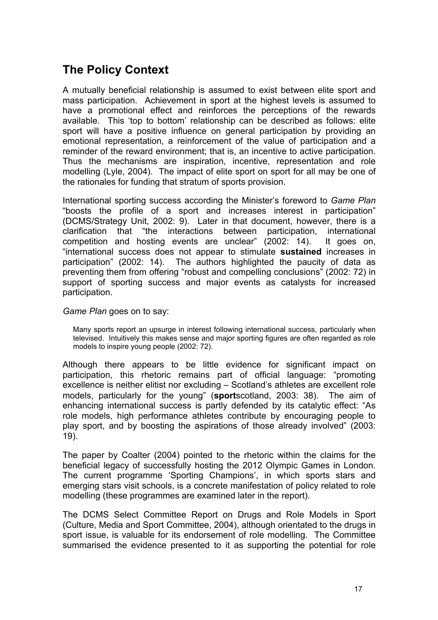## **The Policy Context**

A mutually beneficial relationship is assumed to exist between elite sport and mass participation. Achievement in sport at the highest levels is assumed to have a promotional effect and reinforces the perceptions of the rewards available. This 'top to bottom' relationship can be described as follows: elite sport will have a positive influence on general participation by providing an emotional representation, a reinforcement of the value of participation and a reminder of the reward environment; that is, an incentive to active participation. Thus the mechanisms are inspiration, incentive, representation and role modelling (Lyle, 2004). The impact of elite sport on sport for all may be one of the rationales for funding that stratum of sports provision.

International sporting success according the Minister's foreword to *Game Plan* "boosts the profile of a sport and increases interest in participation" (DCMS/Strategy Unit, 2002: 9). Later in that document, however, there is a clarification that "the interactions between participation, international competition and hosting events are unclear" (2002: 14). It goes on, "international success does not appear to stimulate **sustained** increases in participation" (2002: 14). The authors highlighted the paucity of data as preventing them from offering "robust and compelling conclusions" (2002: 72) in support of sporting success and major events as catalysts for increased participation.

*Game Plan* goes on to say:

Many sports report an upsurge in interest following international success, particularly when televised. Intuitively this makes sense and major sporting figures are often regarded as role models to inspire young people (2002: 72).

Although there appears to be little evidence for significant impact on participation, this rhetoric remains part of official language: "promoting excellence is neither elitist nor excluding – Scotland's athletes are excellent role models, particularly for the young" (**sport**scotland, 2003: 38). The aim of enhancing international success is partly defended by its catalytic effect: "As role models, high performance athletes contribute by encouraging people to play sport, and by boosting the aspirations of those already involved" (2003: 19).

The paper by Coalter (2004) pointed to the rhetoric within the claims for the beneficial legacy of successfully hosting the 2012 Olympic Games in London. The current programme 'Sporting Champions', in which sports stars and emerging stars visit schools, is a concrete manifestation of policy related to role modelling (these programmes are examined later in the report).

The DCMS Select Committee Report on Drugs and Role Models in Sport (Culture, Media and Sport Committee, 2004), although orientated to the drugs in sport issue, is valuable for its endorsement of role modelling. The Committee summarised the evidence presented to it as supporting the potential for role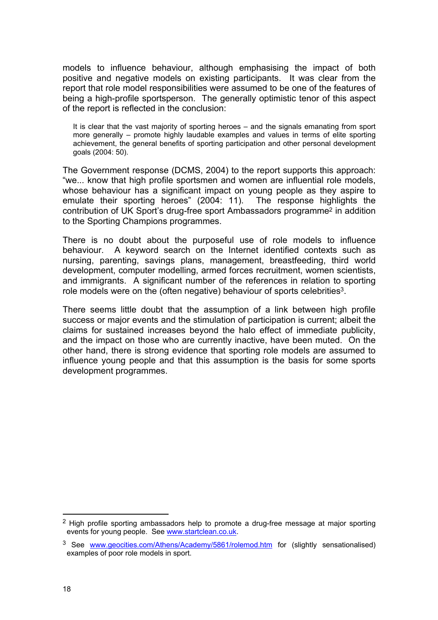models to influence behaviour, although emphasising the impact of both positive and negative models on existing participants. It was clear from the report that role model responsibilities were assumed to be one of the features of being a high-profile sportsperson. The generally optimistic tenor of this aspect of the report is reflected in the conclusion:

It is clear that the vast majority of sporting heroes – and the signals emanating from sport more generally – promote highly laudable examples and values in terms of elite sporting achievement, the general benefits of sporting participation and other personal development goals (2004: 50).

The Government response (DCMS, 2004) to the report supports this approach: "we... know that high profile sportsmen and women are influential role models, whose behaviour has a significant impact on young people as they aspire to emulate their sporting heroes" (2004: 11). The response highlights the contribution of UK Sport's drug-free sport Ambassadors programme2 in addition to the Sporting Champions programmes.

There is no doubt about the purposeful use of role models to influence behaviour. A keyword search on the Internet identified contexts such as nursing, parenting, savings plans, management, breastfeeding, third world development, computer modelling, armed forces recruitment, women scientists, and immigrants. A significant number of the references in relation to sporting role models were on the (often negative) behaviour of sports celebrities<sup>3</sup>.

There seems little doubt that the assumption of a link between high profile success or major events and the stimulation of participation is current; albeit the claims for sustained increases beyond the halo effect of immediate publicity, and the impact on those who are currently inactive, have been muted. On the other hand, there is strong evidence that sporting role models are assumed to influence young people and that this assumption is the basis for some sports development programmes.

 $2$  High profile sporting ambassadors help to promote a drug-free message at major sporting events for young people. See www.startclean.co.uk.

<sup>&</sup>lt;sup>3</sup> See www.geocities.com/Athens/Academy/5861/rolemod.htm for (slightly sensationalised) examples of poor role models in sport.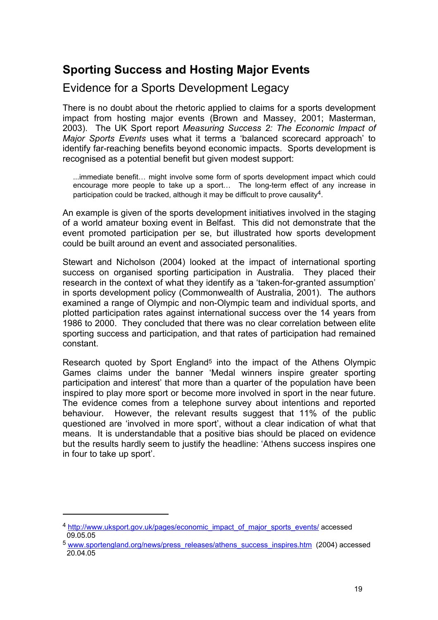## **Sporting Success and Hosting Major Events**

Evidence for a Sports Development Legacy

There is no doubt about the rhetoric applied to claims for a sports development impact from hosting major events (Brown and Massey, 2001; Masterman, 2003). The UK Sport report *Measuring Success 2: The Economic Impact of Major Sports Events* uses what it terms a 'balanced scorecard approach' to identify far-reaching benefits beyond economic impacts. Sports development is recognised as a potential benefit but given modest support:

...immediate benefit… might involve some form of sports development impact which could encourage more people to take up a sport… The long-term effect of any increase in participation could be tracked, although it may be difficult to prove causality<sup>4</sup>.

An example is given of the sports development initiatives involved in the staging of a world amateur boxing event in Belfast. This did not demonstrate that the event promoted participation per se, but illustrated how sports development could be built around an event and associated personalities.

Stewart and Nicholson (2004) looked at the impact of international sporting success on organised sporting participation in Australia. They placed their research in the context of what they identify as a 'taken-for-granted assumption' in sports development policy (Commonwealth of Australia, 2001). The authors examined a range of Olympic and non-Olympic team and individual sports, and plotted participation rates against international success over the 14 years from 1986 to 2000. They concluded that there was no clear correlation between elite sporting success and participation, and that rates of participation had remained constant.

Research quoted by Sport England<sup>5</sup> into the impact of the Athens Olympic Games claims under the banner 'Medal winners inspire greater sporting participation and interest' that more than a quarter of the population have been inspired to play more sport or become more involved in sport in the near future. The evidence comes from a telephone survey about intentions and reported behaviour. However, the relevant results suggest that 11% of the public questioned are 'involved in more sport', without a clear indication of what that means. It is understandable that a positive bias should be placed on evidence but the results hardly seem to justify the headline: 'Athens success inspires one in four to take up sport'.

<sup>4</sup> http://www.uksport.gov.uk/pages/economic\_impact\_of\_major\_sports\_events/ accessed 09.05.05

<sup>&</sup>lt;sup>5</sup> www.sportengland.org/news/press\_releases/athens\_success\_inspires.htm (2004) accessed 20.04.05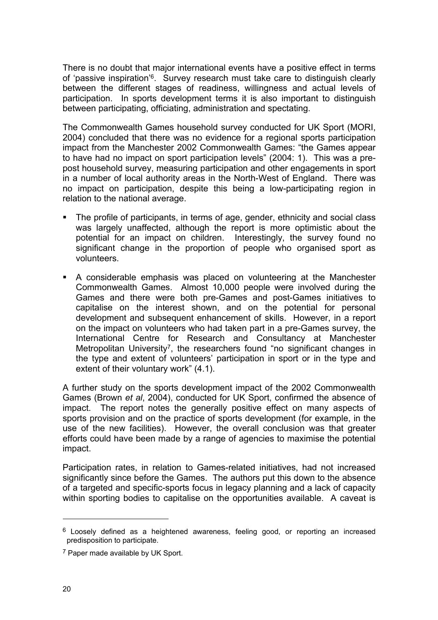There is no doubt that major international events have a positive effect in terms of 'passive inspiration'6. Survey research must take care to distinguish clearly between the different stages of readiness, willingness and actual levels of participation. In sports development terms it is also important to distinguish between participating, officiating, administration and spectating.

The Commonwealth Games household survey conducted for UK Sport (MORI, 2004) concluded that there was no evidence for a regional sports participation impact from the Manchester 2002 Commonwealth Games: "the Games appear to have had no impact on sport participation levels" (2004: 1). This was a prepost household survey, measuring participation and other engagements in sport in a number of local authority areas in the North-West of England. There was no impact on participation, despite this being a low-participating region in relation to the national average.

- The profile of participants, in terms of age, gender, ethnicity and social class was largely unaffected, although the report is more optimistic about the potential for an impact on children. Interestingly, the survey found no significant change in the proportion of people who organised sport as volunteers.
- A considerable emphasis was placed on volunteering at the Manchester Commonwealth Games. Almost 10,000 people were involved during the Games and there were both pre-Games and post-Games initiatives to capitalise on the interest shown, and on the potential for personal development and subsequent enhancement of skills. However, in a report on the impact on volunteers who had taken part in a pre-Games survey, the International Centre for Research and Consultancy at Manchester Metropolitan University<sup>7</sup>, the researchers found "no significant changes in the type and extent of volunteers' participation in sport or in the type and extent of their voluntary work" (4.1).

A further study on the sports development impact of the 2002 Commonwealth Games (Brown *et al*, 2004), conducted for UK Sport, confirmed the absence of impact. The report notes the generally positive effect on many aspects of sports provision and on the practice of sports development (for example, in the use of the new facilities). However, the overall conclusion was that greater efforts could have been made by a range of agencies to maximise the potential impact.

Participation rates, in relation to Games-related initiatives, had not increased significantly since before the Games. The authors put this down to the absence of a targeted and specific-sports focus in legacy planning and a lack of capacity within sporting bodies to capitalise on the opportunities available. A caveat is

 $6$  Loosely defined as a heightened awareness, feeling good, or reporting an increased predisposition to participate.

<sup>7</sup> Paper made available by UK Sport.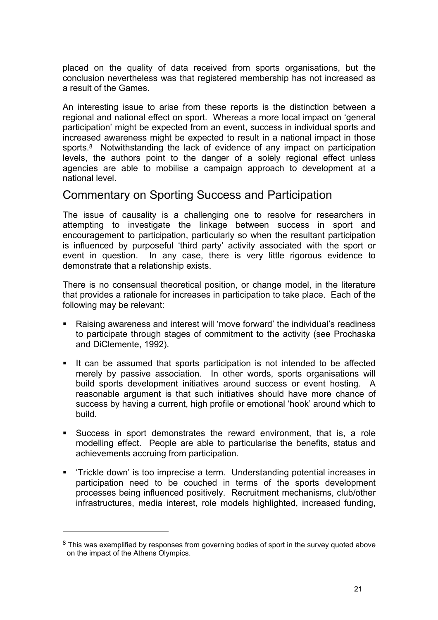placed on the quality of data received from sports organisations, but the conclusion nevertheless was that registered membership has not increased as a result of the Games.

An interesting issue to arise from these reports is the distinction between a regional and national effect on sport. Whereas a more local impact on 'general participation' might be expected from an event, success in individual sports and increased awareness might be expected to result in a national impact in those sports.<sup>8</sup> Notwithstanding the lack of evidence of any impact on participation levels, the authors point to the danger of a solely regional effect unless agencies are able to mobilise a campaign approach to development at a national level.

#### Commentary on Sporting Success and Participation

The issue of causality is a challenging one to resolve for researchers in attempting to investigate the linkage between success in sport and encouragement to participation, particularly so when the resultant participation is influenced by purposeful 'third party' activity associated with the sport or event in question. In any case, there is very little rigorous evidence to demonstrate that a relationship exists.

There is no consensual theoretical position, or change model, in the literature that provides a rationale for increases in participation to take place. Each of the following may be relevant:

- Raising awareness and interest will 'move forward' the individual's readiness to participate through stages of commitment to the activity (see Prochaska and DiClemente, 1992).
- It can be assumed that sports participation is not intended to be affected merely by passive association. In other words, sports organisations will build sports development initiatives around success or event hosting. A reasonable argument is that such initiatives should have more chance of success by having a current, high profile or emotional 'hook' around which to build.
- Success in sport demonstrates the reward environment, that is, a role modelling effect. People are able to particularise the benefits, status and achievements accruing from participation.
- 'Trickle down' is too imprecise a term. Understanding potential increases in participation need to be couched in terms of the sports development processes being influenced positively. Recruitment mechanisms, club/other infrastructures, media interest, role models highlighted, increased funding,

<sup>&</sup>lt;sup>8</sup> This was exemplified by responses from governing bodies of sport in the survey quoted above on the impact of the Athens Olympics.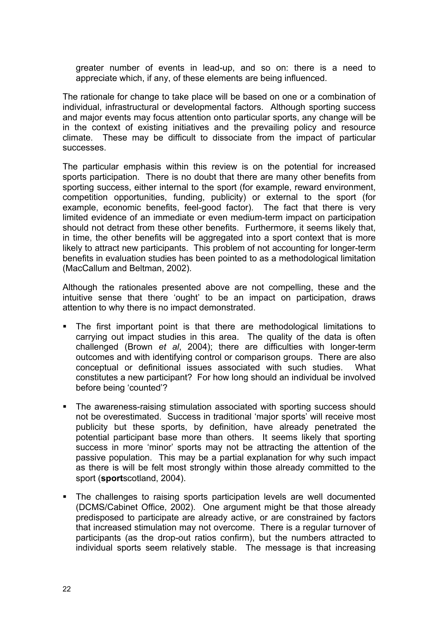greater number of events in lead-up, and so on: there is a need to appreciate which, if any, of these elements are being influenced.

The rationale for change to take place will be based on one or a combination of individual, infrastructural or developmental factors. Although sporting success and major events may focus attention onto particular sports, any change will be in the context of existing initiatives and the prevailing policy and resource climate. These may be difficult to dissociate from the impact of particular successes.

The particular emphasis within this review is on the potential for increased sports participation. There is no doubt that there are many other benefits from sporting success, either internal to the sport (for example, reward environment, competition opportunities, funding, publicity) or external to the sport (for example, economic benefits, feel-good factor). The fact that there is very limited evidence of an immediate or even medium-term impact on participation should not detract from these other benefits. Furthermore, it seems likely that, in time, the other benefits will be aggregated into a sport context that is more likely to attract new participants. This problem of not accounting for longer-term benefits in evaluation studies has been pointed to as a methodological limitation (MacCallum and Beltman, 2002).

Although the rationales presented above are not compelling, these and the intuitive sense that there 'ought' to be an impact on participation, draws attention to why there is no impact demonstrated.

- The first important point is that there are methodological limitations to carrying out impact studies in this area. The quality of the data is often challenged (Brown *et al*, 2004); there are difficulties with longer-term outcomes and with identifying control or comparison groups. There are also conceptual or definitional issues associated with such studies. What constitutes a new participant? For how long should an individual be involved before being 'counted'?
- **The awareness-raising stimulation associated with sporting success should** not be overestimated. Success in traditional 'major sports' will receive most publicity but these sports, by definition, have already penetrated the potential participant base more than others. It seems likely that sporting success in more 'minor' sports may not be attracting the attention of the passive population. This may be a partial explanation for why such impact as there is will be felt most strongly within those already committed to the sport (**sport**scotland, 2004).
- The challenges to raising sports participation levels are well documented (DCMS/Cabinet Office, 2002). One argument might be that those already predisposed to participate are already active, or are constrained by factors that increased stimulation may not overcome. There is a regular turnover of participants (as the drop-out ratios confirm), but the numbers attracted to individual sports seem relatively stable. The message is that increasing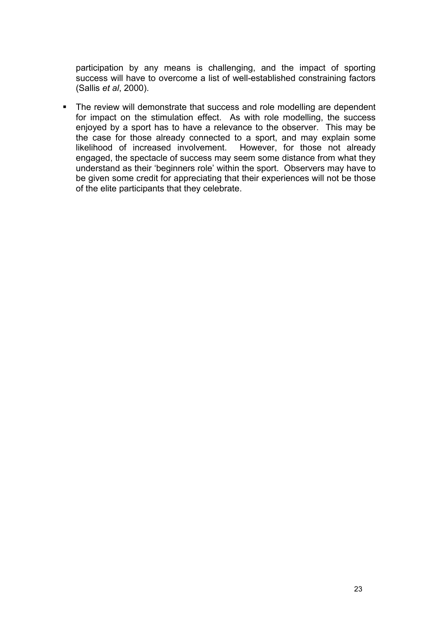participation by any means is challenging, and the impact of sporting success will have to overcome a list of well-established constraining factors (Sallis *et al*, 2000).

• The review will demonstrate that success and role modelling are dependent for impact on the stimulation effect. As with role modelling, the success enjoyed by a sport has to have a relevance to the observer. This may be the case for those already connected to a sport, and may explain some likelihood of increased involvement. However, for those not already engaged, the spectacle of success may seem some distance from what they understand as their 'beginners role' within the sport. Observers may have to be given some credit for appreciating that their experiences will not be those of the elite participants that they celebrate.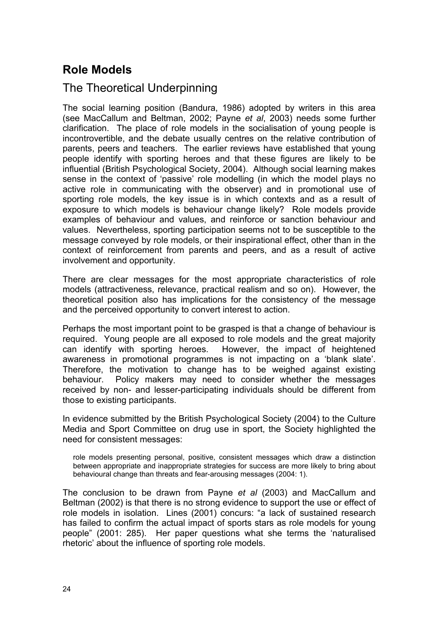## **Role Models**

### The Theoretical Underpinning

The social learning position (Bandura, 1986) adopted by writers in this area (see MacCallum and Beltman, 2002; Payne *et al*, 2003) needs some further clarification. The place of role models in the socialisation of young people is incontrovertible, and the debate usually centres on the relative contribution of parents, peers and teachers. The earlier reviews have established that young people identify with sporting heroes and that these figures are likely to be influential (British Psychological Society, 2004). Although social learning makes sense in the context of 'passive' role modelling (in which the model plays no active role in communicating with the observer) and in promotional use of sporting role models, the key issue is in which contexts and as a result of exposure to which models is behaviour change likely? Role models provide examples of behaviour and values, and reinforce or sanction behaviour and values. Nevertheless, sporting participation seems not to be susceptible to the message conveyed by role models, or their inspirational effect, other than in the context of reinforcement from parents and peers, and as a result of active involvement and opportunity.

There are clear messages for the most appropriate characteristics of role models (attractiveness, relevance, practical realism and so on). However, the theoretical position also has implications for the consistency of the message and the perceived opportunity to convert interest to action.

Perhaps the most important point to be grasped is that a change of behaviour is required. Young people are all exposed to role models and the great majority can identify with sporting heroes. However, the impact of heightened awareness in promotional programmes is not impacting on a 'blank slate'. Therefore, the motivation to change has to be weighed against existing behaviour. Policy makers may need to consider whether the messages received by non- and lesser-participating individuals should be different from those to existing participants.

In evidence submitted by the British Psychological Society (2004) to the Culture Media and Sport Committee on drug use in sport, the Society highlighted the need for consistent messages:

role models presenting personal, positive, consistent messages which draw a distinction between appropriate and inappropriate strategies for success are more likely to bring about behavioural change than threats and fear-arousing messages (2004: 1).

The conclusion to be drawn from Payne *et al* (2003) and MacCallum and Beltman (2002) is that there is no strong evidence to support the use or effect of role models in isolation. Lines (2001) concurs: "a lack of sustained research has failed to confirm the actual impact of sports stars as role models for young people" (2001: 285). Her paper questions what she terms the 'naturalised rhetoric' about the influence of sporting role models.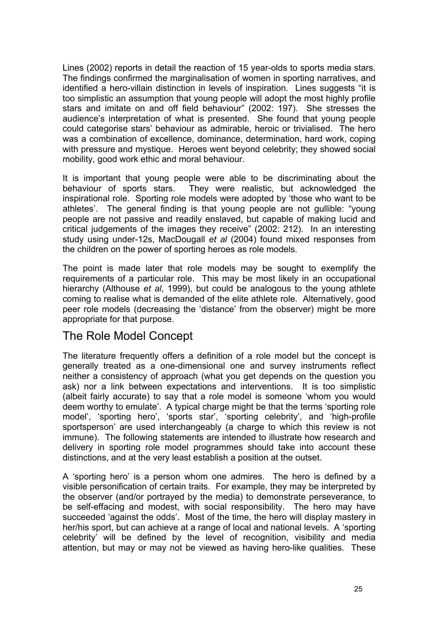Lines (2002) reports in detail the reaction of 15 year-olds to sports media stars. The findings confirmed the marginalisation of women in sporting narratives, and identified a hero-villain distinction in levels of inspiration. Lines suggests "it is too simplistic an assumption that young people will adopt the most highly profile stars and imitate on and off field behaviour" (2002: 197). She stresses the audience's interpretation of what is presented. She found that young people could categorise stars' behaviour as admirable, heroic or trivialised. The hero was a combination of excellence, dominance, determination, hard work, coping with pressure and mystique. Heroes went beyond celebrity; they showed social mobility, good work ethic and moral behaviour.

It is important that young people were able to be discriminating about the behaviour of sports stars. They were realistic, but acknowledged the inspirational role. Sporting role models were adopted by 'those who want to be athletes'. The general finding is that young people are not gullible: "young people are not passive and readily enslaved, but capable of making lucid and critical judgements of the images they receive" (2002: 212). In an interesting study using under-12s, MacDougall *et al* (2004) found mixed responses from the children on the power of sporting heroes as role models.

The point is made later that role models may be sought to exemplify the requirements of a particular role. This may be most likely in an occupational hierarchy (Althouse *et al*, 1999), but could be analogous to the young athlete coming to realise what is demanded of the elite athlete role. Alternatively, good peer role models (decreasing the 'distance' from the observer) might be more appropriate for that purpose.

#### The Role Model Concept

The literature frequently offers a definition of a role model but the concept is generally treated as a one-dimensional one and survey instruments reflect neither a consistency of approach (what you get depends on the question you ask) nor a link between expectations and interventions. It is too simplistic (albeit fairly accurate) to say that a role model is someone 'whom you would deem worthy to emulate'. A typical charge might be that the terms 'sporting role model', 'sporting hero', 'sports star', 'sporting celebrity', and 'high-profile sportsperson' are used interchangeably (a charge to which this review is not immune). The following statements are intended to illustrate how research and delivery in sporting role model programmes should take into account these distinctions, and at the very least establish a position at the outset.

A 'sporting hero' is a person whom one admires. The hero is defined by a visible personification of certain traits. For example, they may be interpreted by the observer (and/or portrayed by the media) to demonstrate perseverance, to be self-effacing and modest, with social responsibility. The hero may have succeeded 'against the odds'. Most of the time, the hero will display mastery in her/his sport, but can achieve at a range of local and national levels. A 'sporting celebrity' will be defined by the level of recognition, visibility and media attention, but may or may not be viewed as having hero-like qualities. These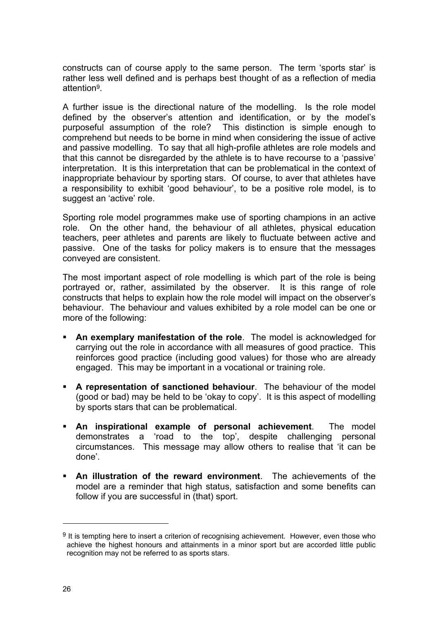constructs can of course apply to the same person. The term 'sports star' is rather less well defined and is perhaps best thought of as a reflection of media attention9.

A further issue is the directional nature of the modelling. Is the role model defined by the observer's attention and identification, or by the model's purposeful assumption of the role? This distinction is simple enough to comprehend but needs to be borne in mind when considering the issue of active and passive modelling. To say that all high-profile athletes are role models and that this cannot be disregarded by the athlete is to have recourse to a 'passive' interpretation. It is this interpretation that can be problematical in the context of inappropriate behaviour by sporting stars. Of course, to aver that athletes have a responsibility to exhibit 'good behaviour', to be a positive role model, is to suggest an 'active' role.

Sporting role model programmes make use of sporting champions in an active role. On the other hand, the behaviour of all athletes, physical education teachers, peer athletes and parents are likely to fluctuate between active and passive. One of the tasks for policy makers is to ensure that the messages conveyed are consistent.

The most important aspect of role modelling is which part of the role is being portrayed or, rather, assimilated by the observer. It is this range of role constructs that helps to explain how the role model will impact on the observer's behaviour. The behaviour and values exhibited by a role model can be one or more of the following:

- **An exemplary manifestation of the role**. The model is acknowledged for carrying out the role in accordance with all measures of good practice. This reinforces good practice (including good values) for those who are already engaged. This may be important in a vocational or training role.
- **A representation of sanctioned behaviour**. The behaviour of the model (good or bad) may be held to be 'okay to copy'. It is this aspect of modelling by sports stars that can be problematical.
- **An inspirational example of personal achievement**. The model demonstrates a 'road to the top', despite challenging personal circumstances. This message may allow others to realise that 'it can be done'.
- **An illustration of the reward environment**. The achievements of the model are a reminder that high status, satisfaction and some benefits can follow if you are successful in (that) sport.

 $9$  It is tempting here to insert a criterion of recognising achievement. However, even those who achieve the highest honours and attainments in a minor sport but are accorded little public recognition may not be referred to as sports stars.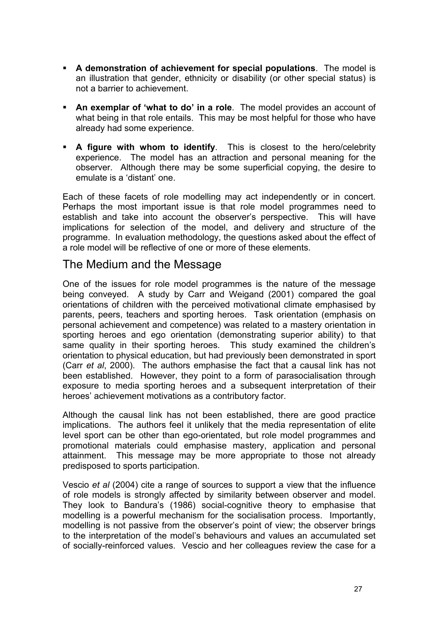- **A demonstration of achievement for special populations**. The model is an illustration that gender, ethnicity or disability (or other special status) is not a barrier to achievement.
- **An exemplar of 'what to do' in a role**. The model provides an account of what being in that role entails. This may be most helpful for those who have already had some experience.
- **A figure with whom to identify**. This is closest to the hero/celebrity experience. The model has an attraction and personal meaning for the observer. Although there may be some superficial copying, the desire to emulate is a 'distant' one.

Each of these facets of role modelling may act independently or in concert. Perhaps the most important issue is that role model programmes need to establish and take into account the observer's perspective. This will have implications for selection of the model, and delivery and structure of the programme. In evaluation methodology, the questions asked about the effect of a role model will be reflective of one or more of these elements.

#### The Medium and the Message

One of the issues for role model programmes is the nature of the message being conveyed. A study by Carr and Weigand (2001) compared the goal orientations of children with the perceived motivational climate emphasised by parents, peers, teachers and sporting heroes. Task orientation (emphasis on personal achievement and competence) was related to a mastery orientation in sporting heroes and ego orientation (demonstrating superior ability) to that same quality in their sporting heroes. This study examined the children's orientation to physical education, but had previously been demonstrated in sport (Carr *et al*, 2000). The authors emphasise the fact that a causal link has not been established. However, they point to a form of parasocialisation through exposure to media sporting heroes and a subsequent interpretation of their heroes' achievement motivations as a contributory factor.

Although the causal link has not been established, there are good practice implications. The authors feel it unlikely that the media representation of elite level sport can be other than ego-orientated, but role model programmes and promotional materials could emphasise mastery, application and personal attainment. This message may be more appropriate to those not already predisposed to sports participation.

Vescio *et al* (2004) cite a range of sources to support a view that the influence of role models is strongly affected by similarity between observer and model. They look to Bandura's (1986) social-cognitive theory to emphasise that modelling is a powerful mechanism for the socialisation process. Importantly, modelling is not passive from the observer's point of view; the observer brings to the interpretation of the model's behaviours and values an accumulated set of socially-reinforced values. Vescio and her colleagues review the case for a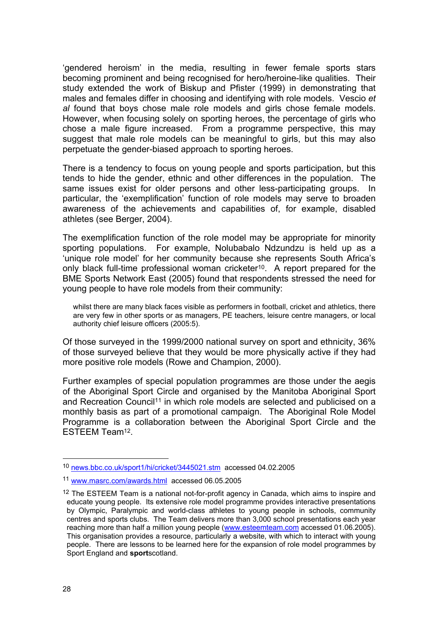'gendered heroism' in the media, resulting in fewer female sports stars becoming prominent and being recognised for hero/heroine-like qualities. Their study extended the work of Biskup and Pfister (1999) in demonstrating that males and females differ in choosing and identifying with role models. Vescio *et al* found that boys chose male role models and girls chose female models. However, when focusing solely on sporting heroes, the percentage of girls who chose a male figure increased. From a programme perspective, this may suggest that male role models can be meaningful to girls, but this may also perpetuate the gender-biased approach to sporting heroes.

There is a tendency to focus on young people and sports participation, but this tends to hide the gender, ethnic and other differences in the population. The same issues exist for older persons and other less-participating groups. In particular, the 'exemplification' function of role models may serve to broaden awareness of the achievements and capabilities of, for example, disabled athletes (see Berger, 2004).

The exemplification function of the role model may be appropriate for minority sporting populations. For example, Nolubabalo Ndzundzu is held up as a 'unique role model' for her community because she represents South Africa's only black full-time professional woman cricketer10. A report prepared for the BME Sports Network East (2005) found that respondents stressed the need for young people to have role models from their community:

whilst there are many black faces visible as performers in football, cricket and athletics, there are very few in other sports or as managers, PE teachers, leisure centre managers, or local authority chief leisure officers (2005:5).

Of those surveyed in the 1999/2000 national survey on sport and ethnicity, 36% of those surveyed believe that they would be more physically active if they had more positive role models (Rowe and Champion, 2000).

Further examples of special population programmes are those under the aegis of the Aboriginal Sport Circle and organised by the Manitoba Aboriginal Sport and Recreation Council<sup>11</sup> in which role models are selected and publicised on a monthly basis as part of a promotional campaign. The Aboriginal Role Model Programme is a collaboration between the Aboriginal Sport Circle and the ESTEEM Team12.

 $\overline{a}$ 

<sup>10</sup> news.bbc.co.uk/sport1/hi/cricket/3445021.stm accessed 04.02.2005

<sup>11</sup> www.masrc.com/awards.html accessed 06.05.2005

 $12$  The ESTEEM Team is a national not-for-profit agency in Canada, which aims to inspire and educate young people. Its extensive role model programme provides interactive presentations by Olympic, Paralympic and world-class athletes to young people in schools, community centres and sports clubs. The Team delivers more than 3,000 school presentations each year reaching more than half a million young people (www.esteemteam.com accessed 01.06.2005). This organisation provides a resource, particularly a website, with which to interact with young people. There are lessons to be learned here for the expansion of role model programmes by Sport England and **sport**scotland.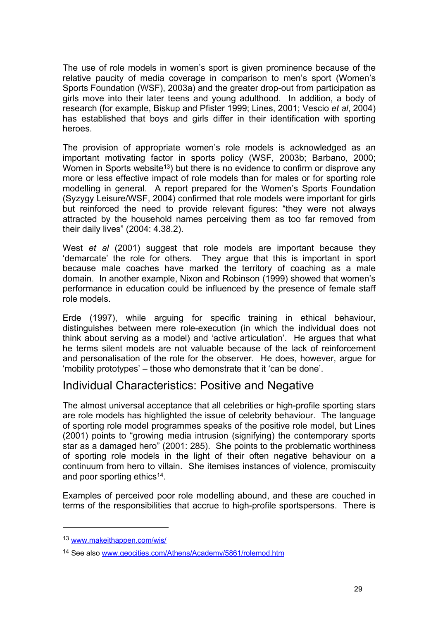The use of role models in women's sport is given prominence because of the relative paucity of media coverage in comparison to men's sport (Women's Sports Foundation (WSF), 2003a) and the greater drop-out from participation as girls move into their later teens and young adulthood. In addition, a body of research (for example, Biskup and Pfister 1999; Lines, 2001; Vescio *et al*, 2004) has established that boys and girls differ in their identification with sporting heroes.

The provision of appropriate women's role models is acknowledged as an important motivating factor in sports policy (WSF, 2003b; Barbano, 2000; Women in Sports website<sup>13</sup>) but there is no evidence to confirm or disprove any more or less effective impact of role models than for males or for sporting role modelling in general. A report prepared for the Women's Sports Foundation (Syzygy Leisure/WSF, 2004) confirmed that role models were important for girls but reinforced the need to provide relevant figures: "they were not always attracted by the household names perceiving them as too far removed from their daily lives" (2004: 4.38.2).

West *et al* (2001) suggest that role models are important because they 'demarcate' the role for others. They argue that this is important in sport because male coaches have marked the territory of coaching as a male domain. In another example, Nixon and Robinson (1999) showed that women's performance in education could be influenced by the presence of female staff role models.

Erde (1997), while arguing for specific training in ethical behaviour, distinguishes between mere role-execution (in which the individual does not think about serving as a model) and 'active articulation'. He argues that what he terms silent models are not valuable because of the lack of reinforcement and personalisation of the role for the observer. He does, however, argue for 'mobility prototypes' – those who demonstrate that it 'can be done'.

#### Individual Characteristics: Positive and Negative

The almost universal acceptance that all celebrities or high-profile sporting stars are role models has highlighted the issue of celebrity behaviour. The language of sporting role model programmes speaks of the positive role model, but Lines (2001) points to "growing media intrusion (signifying) the contemporary sports star as a damaged hero" (2001: 285). She points to the problematic worthiness of sporting role models in the light of their often negative behaviour on a continuum from hero to villain. She itemises instances of violence, promiscuity and poor sporting ethics<sup>14</sup>.

Examples of perceived poor role modelling abound, and these are couched in terms of the responsibilities that accrue to high-profile sportspersons. There is

<sup>13</sup> www.makeithappen.com/wis/

<sup>14</sup> See also www.geocities.com/Athens/Academy/5861/rolemod.htm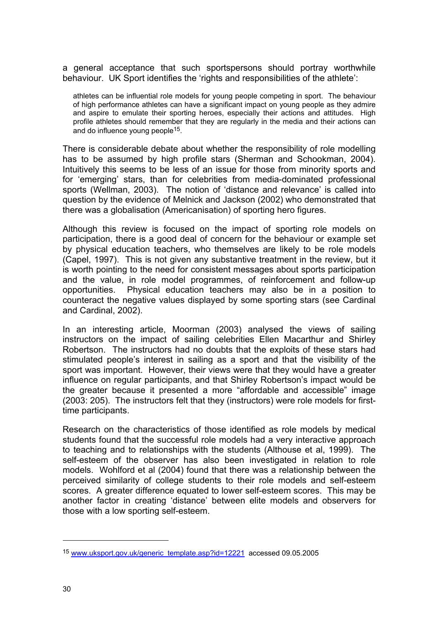a general acceptance that such sportspersons should portray worthwhile behaviour. UK Sport identifies the 'rights and responsibilities of the athlete':

athletes can be influential role models for young people competing in sport. The behaviour of high performance athletes can have a significant impact on young people as they admire and aspire to emulate their sporting heroes, especially their actions and attitudes. High profile athletes should remember that they are regularly in the media and their actions can and do influence young people<sup>15</sup>.

There is considerable debate about whether the responsibility of role modelling has to be assumed by high profile stars (Sherman and Schookman, 2004). Intuitively this seems to be less of an issue for those from minority sports and for 'emerging' stars, than for celebrities from media-dominated professional sports (Wellman, 2003). The notion of 'distance and relevance' is called into question by the evidence of Melnick and Jackson (2002) who demonstrated that there was a globalisation (Americanisation) of sporting hero figures.

Although this review is focused on the impact of sporting role models on participation, there is a good deal of concern for the behaviour or example set by physical education teachers, who themselves are likely to be role models (Capel, 1997). This is not given any substantive treatment in the review, but it is worth pointing to the need for consistent messages about sports participation and the value, in role model programmes, of reinforcement and follow-up opportunities. Physical education teachers may also be in a position to counteract the negative values displayed by some sporting stars (see Cardinal and Cardinal, 2002).

In an interesting article, Moorman (2003) analysed the views of sailing instructors on the impact of sailing celebrities Ellen Macarthur and Shirley Robertson. The instructors had no doubts that the exploits of these stars had stimulated people's interest in sailing as a sport and that the visibility of the sport was important. However, their views were that they would have a greater influence on regular participants, and that Shirley Robertson's impact would be the greater because it presented a more "affordable and accessible" image (2003: 205). The instructors felt that they (instructors) were role models for firsttime participants.

Research on the characteristics of those identified as role models by medical students found that the successful role models had a very interactive approach to teaching and to relationships with the students (Althouse et al, 1999). The self-esteem of the observer has also been investigated in relation to role models. Wohlford et al (2004) found that there was a relationship between the perceived similarity of college students to their role models and self-esteem scores. A greater difference equated to lower self-esteem scores. This may be another factor in creating 'distance' between elite models and observers for those with a low sporting self-esteem.

<sup>15</sup> www.uksport.gov.uk/generic\_template.asp?id=12221 accessed 09.05.2005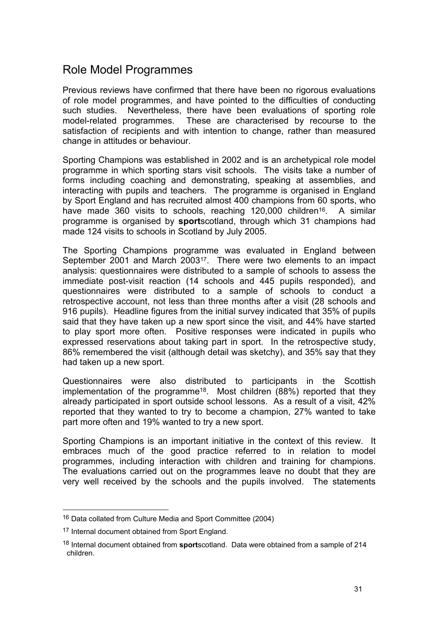### Role Model Programmes

Previous reviews have confirmed that there have been no rigorous evaluations of role model programmes, and have pointed to the difficulties of conducting such studies. Nevertheless, there have been evaluations of sporting role model-related programmes. These are characterised by recourse to the satisfaction of recipients and with intention to change, rather than measured change in attitudes or behaviour.

Sporting Champions was established in 2002 and is an archetypical role model programme in which sporting stars visit schools. The visits take a number of forms including coaching and demonstrating, speaking at assemblies, and interacting with pupils and teachers. The programme is organised in England by Sport England and has recruited almost 400 champions from 60 sports, who have made 360 visits to schools, reaching 120,000 children<sup>16</sup>. A similar programme is organised by **sport**scotland, through which 31 champions had made 124 visits to schools in Scotland by July 2005.

The Sporting Champions programme was evaluated in England between September 2001 and March 200317. There were two elements to an impact analysis: questionnaires were distributed to a sample of schools to assess the immediate post-visit reaction (14 schools and 445 pupils responded), and questionnaires were distributed to a sample of schools to conduct a retrospective account, not less than three months after a visit (28 schools and 916 pupils). Headline figures from the initial survey indicated that 35% of pupils said that they have taken up a new sport since the visit, and 44% have started to play sport more often. Positive responses were indicated in pupils who expressed reservations about taking part in sport. In the retrospective study, 86% remembered the visit (although detail was sketchy), and 35% say that they had taken up a new sport.

Questionnaires were also distributed to participants in the Scottish implementation of the programme18. Most children (88%) reported that they already participated in sport outside school lessons. As a result of a visit, 42% reported that they wanted to try to become a champion, 27% wanted to take part more often and 19% wanted to try a new sport.

Sporting Champions is an important initiative in the context of this review. It embraces much of the good practice referred to in relation to model programmes, including interaction with children and training for champions. The evaluations carried out on the programmes leave no doubt that they are very well received by the schools and the pupils involved. The statements

 $\overline{a}$ 

<sup>16</sup> Data collated from Culture Media and Sport Committee (2004)

<sup>17</sup> Internal document obtained from Sport England.

<sup>18</sup> Internal document obtained from **sport**scotland. Data were obtained from a sample of 214 children.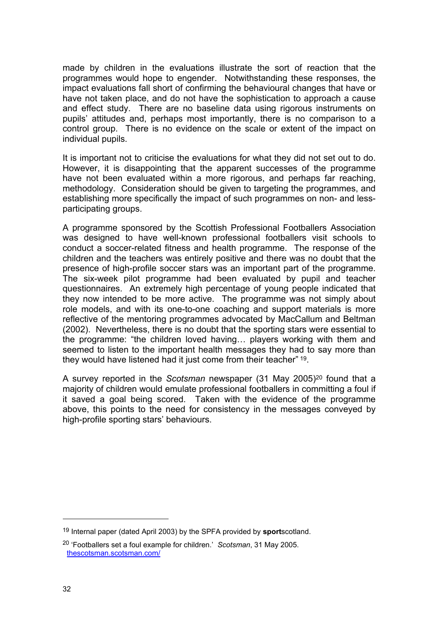made by children in the evaluations illustrate the sort of reaction that the programmes would hope to engender. Notwithstanding these responses, the impact evaluations fall short of confirming the behavioural changes that have or have not taken place, and do not have the sophistication to approach a cause and effect study. There are no baseline data using rigorous instruments on pupils' attitudes and, perhaps most importantly, there is no comparison to a control group. There is no evidence on the scale or extent of the impact on individual pupils.

It is important not to criticise the evaluations for what they did not set out to do. However, it is disappointing that the apparent successes of the programme have not been evaluated within a more rigorous, and perhaps far reaching, methodology. Consideration should be given to targeting the programmes, and establishing more specifically the impact of such programmes on non- and lessparticipating groups.

A programme sponsored by the Scottish Professional Footballers Association was designed to have well-known professional footballers visit schools to conduct a soccer-related fitness and health programme. The response of the children and the teachers was entirely positive and there was no doubt that the presence of high-profile soccer stars was an important part of the programme. The six-week pilot programme had been evaluated by pupil and teacher questionnaires. An extremely high percentage of young people indicated that they now intended to be more active. The programme was not simply about role models, and with its one-to-one coaching and support materials is more reflective of the mentoring programmes advocated by MacCallum and Beltman (2002). Nevertheless, there is no doubt that the sporting stars were essential to the programme: "the children loved having… players working with them and seemed to listen to the important health messages they had to say more than they would have listened had it just come from their teacher" 19.

A survey reported in the *Scotsman* newspaper (31 May 2005)20 found that a majority of children would emulate professional footballers in committing a foul if it saved a goal being scored. Taken with the evidence of the programme above, this points to the need for consistency in the messages conveyed by high-profile sporting stars' behaviours.

<sup>19</sup> Internal paper (dated April 2003) by the SPFA provided by **sport**scotland.

<sup>20 &#</sup>x27;Footballers set a foul example for children.' *Scotsman*, 31 May 2005. thescotsman.scotsman.com/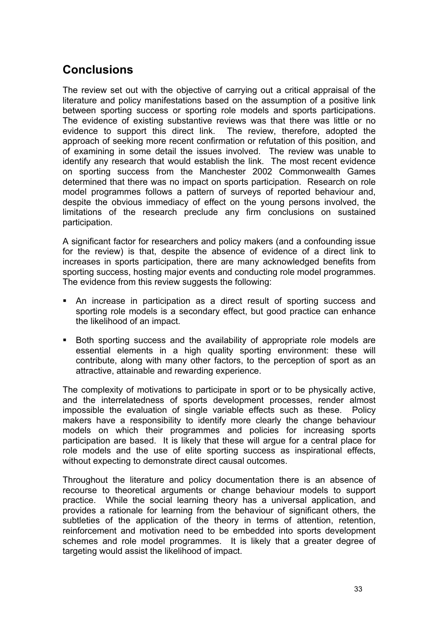## **Conclusions**

The review set out with the objective of carrying out a critical appraisal of the literature and policy manifestations based on the assumption of a positive link between sporting success or sporting role models and sports participations. The evidence of existing substantive reviews was that there was little or no evidence to support this direct link. The review, therefore, adopted the approach of seeking more recent confirmation or refutation of this position, and of examining in some detail the issues involved. The review was unable to identify any research that would establish the link. The most recent evidence on sporting success from the Manchester 2002 Commonwealth Games determined that there was no impact on sports participation. Research on role model programmes follows a pattern of surveys of reported behaviour and, despite the obvious immediacy of effect on the young persons involved, the limitations of the research preclude any firm conclusions on sustained participation.

A significant factor for researchers and policy makers (and a confounding issue for the review) is that, despite the absence of evidence of a direct link to increases in sports participation, there are many acknowledged benefits from sporting success, hosting major events and conducting role model programmes. The evidence from this review suggests the following:

- An increase in participation as a direct result of sporting success and sporting role models is a secondary effect, but good practice can enhance the likelihood of an impact.
- Both sporting success and the availability of appropriate role models are essential elements in a high quality sporting environment: these will contribute, along with many other factors, to the perception of sport as an attractive, attainable and rewarding experience.

The complexity of motivations to participate in sport or to be physically active, and the interrelatedness of sports development processes, render almost impossible the evaluation of single variable effects such as these. Policy makers have a responsibility to identify more clearly the change behaviour models on which their programmes and policies for increasing sports participation are based. It is likely that these will argue for a central place for role models and the use of elite sporting success as inspirational effects, without expecting to demonstrate direct causal outcomes.

Throughout the literature and policy documentation there is an absence of recourse to theoretical arguments or change behaviour models to support practice. While the social learning theory has a universal application, and provides a rationale for learning from the behaviour of significant others, the subtleties of the application of the theory in terms of attention, retention, reinforcement and motivation need to be embedded into sports development schemes and role model programmes. It is likely that a greater degree of targeting would assist the likelihood of impact.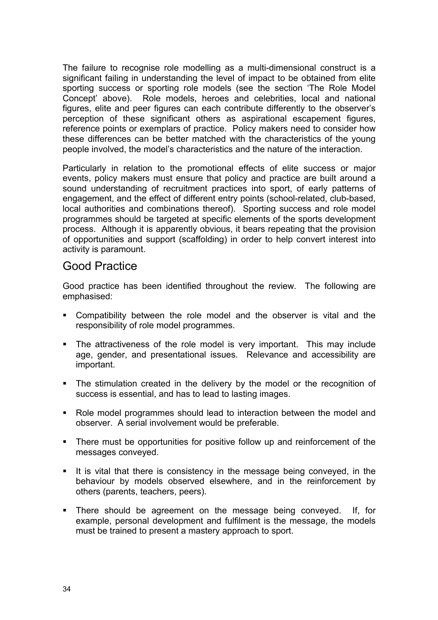The failure to recognise role modelling as a multi-dimensional construct is a significant failing in understanding the level of impact to be obtained from elite sporting success or sporting role models (see the section 'The Role Model Concept' above). Role models, heroes and celebrities, local and national figures, elite and peer figures can each contribute differently to the observer's perception of these significant others as aspirational escapement figures, reference points or exemplars of practice. Policy makers need to consider how these differences can be better matched with the characteristics of the young people involved, the model's characteristics and the nature of the interaction.

Particularly in relation to the promotional effects of elite success or major events, policy makers must ensure that policy and practice are built around a sound understanding of recruitment practices into sport, of early patterns of engagement, and the effect of different entry points (school-related, club-based, local authorities and combinations thereof). Sporting success and role model programmes should be targeted at specific elements of the sports development process. Although it is apparently obvious, it bears repeating that the provision of opportunities and support (scaffolding) in order to help convert interest into activity is paramount.

#### Good Practice

Good practice has been identified throughout the review. The following are emphasised:

- Compatibility between the role model and the observer is vital and the responsibility of role model programmes.
- The attractiveness of the role model is very important. This may include age, gender, and presentational issues. Relevance and accessibility are important.
- The stimulation created in the delivery by the model or the recognition of success is essential, and has to lead to lasting images.
- Role model programmes should lead to interaction between the model and observer. A serial involvement would be preferable.
- There must be opportunities for positive follow up and reinforcement of the messages conveyed.
- It is vital that there is consistency in the message being conveyed, in the behaviour by models observed elsewhere, and in the reinforcement by others (parents, teachers, peers).
- There should be agreement on the message being conveyed. If, for example, personal development and fulfilment is the message, the models must be trained to present a mastery approach to sport.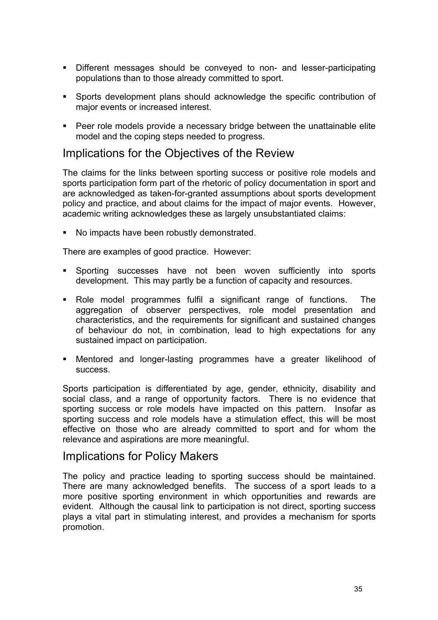- Different messages should be conveyed to non- and lesser-participating populations than to those already committed to sport.
- Sports development plans should acknowledge the specific contribution of major events or increased interest.
- **Peer role models provide a necessary bridge between the unattainable elite** model and the coping steps needed to progress.

#### Implications for the Objectives of the Review

The claims for the links between sporting success or positive role models and sports participation form part of the rhetoric of policy documentation in sport and are acknowledged as taken-for-granted assumptions about sports development policy and practice, and about claims for the impact of major events. However, academic writing acknowledges these as largely unsubstantiated claims:

No impacts have been robustly demonstrated.

There are examples of good practice. However:

- Sporting successes have not been woven sufficiently into sports development. This may partly be a function of capacity and resources.
- Role model programmes fulfil a significant range of functions. The aggregation of observer perspectives, role model presentation and characteristics, and the requirements for significant and sustained changes of behaviour do not, in combination, lead to high expectations for any sustained impact on participation.
- Mentored and longer-lasting programmes have a greater likelihood of success.

Sports participation is differentiated by age, gender, ethnicity, disability and social class, and a range of opportunity factors. There is no evidence that sporting success or role models have impacted on this pattern. Insofar as sporting success and role models have a stimulation effect, this will be most effective on those who are already committed to sport and for whom the relevance and aspirations are more meaningful.

#### Implications for Policy Makers

The policy and practice leading to sporting success should be maintained. There are many acknowledged benefits. The success of a sport leads to a more positive sporting environment in which opportunities and rewards are evident. Although the causal link to participation is not direct, sporting success plays a vital part in stimulating interest, and provides a mechanism for sports promotion.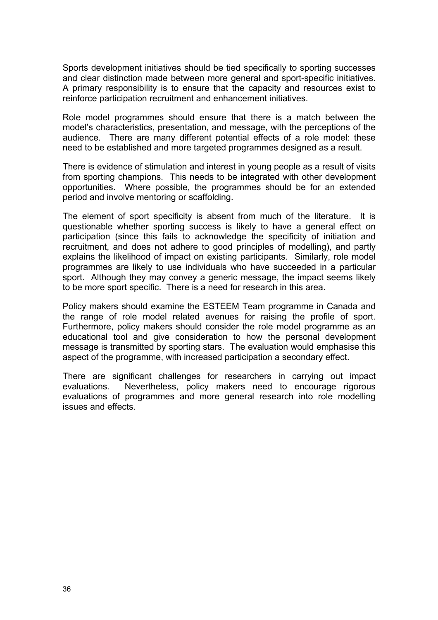Sports development initiatives should be tied specifically to sporting successes and clear distinction made between more general and sport-specific initiatives. A primary responsibility is to ensure that the capacity and resources exist to reinforce participation recruitment and enhancement initiatives.

Role model programmes should ensure that there is a match between the model's characteristics, presentation, and message, with the perceptions of the audience. There are many different potential effects of a role model: these need to be established and more targeted programmes designed as a result.

There is evidence of stimulation and interest in young people as a result of visits from sporting champions. This needs to be integrated with other development opportunities. Where possible, the programmes should be for an extended period and involve mentoring or scaffolding.

The element of sport specificity is absent from much of the literature. It is questionable whether sporting success is likely to have a general effect on participation (since this fails to acknowledge the specificity of initiation and recruitment, and does not adhere to good principles of modelling), and partly explains the likelihood of impact on existing participants. Similarly, role model programmes are likely to use individuals who have succeeded in a particular sport. Although they may convey a generic message, the impact seems likely to be more sport specific. There is a need for research in this area.

Policy makers should examine the ESTEEM Team programme in Canada and the range of role model related avenues for raising the profile of sport. Furthermore, policy makers should consider the role model programme as an educational tool and give consideration to how the personal development message is transmitted by sporting stars. The evaluation would emphasise this aspect of the programme, with increased participation a secondary effect.

There are significant challenges for researchers in carrying out impact evaluations. Nevertheless, policy makers need to encourage rigorous evaluations of programmes and more general research into role modelling issues and effects.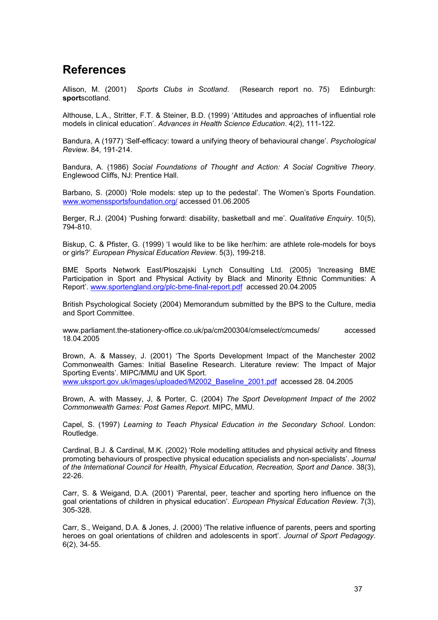### **References**

Allison, M. (2001) *Sports Clubs in Scotland*. (Research report no. 75) Edinburgh: **sport**scotland.

Althouse, L.A., Stritter, F.T. & Steiner, B.D. (1999) 'Attitudes and approaches of influential role models in clinical education'. *Advances in Health Science Education*. 4(2), 111-122.

Bandura, A (1977) 'Self-efficacy: toward a unifying theory of behavioural change'. *Psychological Review*. 84, 191-214.

Bandura, A. (1986) *Social Foundations of Thought and Action: A Social Cognitive Theory*. Englewood Cliffs, NJ: Prentice Hall.

Barbano, S. (2000) 'Role models: step up to the pedestal'. The Women's Sports Foundation. www.womenssportsfoundation.org/ accessed 01.06.2005

Berger, R.J. (2004) 'Pushing forward: disability, basketball and me'. *Qualitative Enquiry*. 10(5), 794-810.

Biskup, C. & Pfister, G. (1999) 'I would like to be like her/him: are athlete role-models for boys or girls?' *European Physical Education Review*. 5(3), 199-218.

BME Sports Network East/Ploszajski Lynch Consulting Ltd. (2005) 'Increasing BME Participation in Sport and Physical Activity by Black and Minority Ethnic Communities: A Report'. www.sportengland.org/plc-bme-final-report.pdf accessed 20.04.2005

British Psychological Society (2004) Memorandum submitted by the BPS to the Culture, media and Sport Committee.

www.parliament.the-stationery-office.co.uk/pa/cm200304/cmselect/cmcumeds/ accessed 18.04.2005

Brown, A. & Massey, J. (2001) 'The Sports Development Impact of the Manchester 2002 Commonwealth Games: Initial Baseline Research. Literature review: The Impact of Major Sporting Events'. MIPC/MMU and UK Sport.

www.uksport.gov.uk/images/uploaded/M2002\_Baseline\_2001.pdf accessed 28. 04.2005

Brown, A. with Massey, J, & Porter, C. (2004) *The Sport Development Impact of the 2002 Commonwealth Games: Post Games Report*. MIPC, MMU.

Capel, S. (1997) *Learning to Teach Physical Education in the Secondary School*. London: Routledge.

Cardinal, B.J. & Cardinal, M.K. (2002) 'Role modelling attitudes and physical activity and fitness promoting behaviours of prospective physical education specialists and non-specialists'. *Journal of the International Council for Health, Physical Education, Recreation, Sport and Dance*. 38(3), 22-26.

Carr, S. & Weigand, D.A. (2001) 'Parental, peer, teacher and sporting hero influence on the goal orientations of children in physical education'. *European Physical Education Review*. 7(3), 305-328.

Carr, S., Weigand, D.A. & Jones, J. (2000) 'The relative influence of parents, peers and sporting heroes on goal orientations of children and adolescents in sport'. *Journal of Sport Pedagogy*. 6(2), 34-55.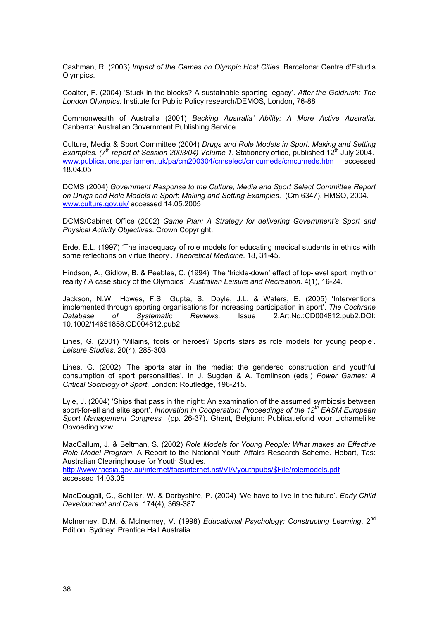Cashman, R. (2003) *Impact of the Games on Olympic Host Cities*. Barcelona: Centre d'Estudis Olympics.

Coalter, F. (2004) 'Stuck in the blocks? A sustainable sporting legacy'. *After the Goldrush: The London Olympics*. Institute for Public Policy research/DEMOS, London, 76-88

Commonwealth of Australia (2001) *Backing Australia' Ability: A More Active Australia*. Canberra: Australian Government Publishing Service.

Culture, Media & Sport Committee (2004) *Drugs and Role Models in Sport: Making and Setting Examples. (7<sup>th</sup> report of Session 2003/04) Volume 1. Stationery office, published 12<sup>th</sup> July 2004.* www.publications.parliament.uk/pa/cm200304/cmselect/cmcumeds/cmcumeds.htm accessed 18.04.05

DCMS (2004) *Government Response to the Culture, Media and Sport Select Committee Report on Drugs and Role Models in Sport*: *Making and Setting Examples*. (Cm 6347). HMSO, 2004. www.culture.gov.uk/ accessed 14.05.2005

DCMS/Cabinet Office (2002) *Game Plan: A Strategy for delivering Government's Sport and Physical Activity Objectives*. Crown Copyright.

Erde, E.L. (1997) 'The inadequacy of role models for educating medical students in ethics with some reflections on virtue theory'. *Theoretical Medicine*. 18, 31-45.

Hindson, A., Gidlow, B. & Peebles, C. (1994) 'The 'trickle-down' effect of top-level sport: myth or reality? A case study of the Olympics'. *Australian Leisure and Recreation*. 4(1), 16-24.

Jackson, N.W., Howes, F.S., Gupta, S., Doyle, J.L. & Waters, E. (2005) 'Interventions implemented through sporting organisations for increasing participation in sport'. *The Cochrane Database of Systematic Reviews*. Issue 2.Art.No.:CD004812.pub2.DOI: 10.1002/14651858.CD004812.pub2.

Lines, G. (2001) 'Villains, fools or heroes? Sports stars as role models for young people'. *Leisure Studies*. 20(4), 285-303.

Lines, G. (2002) 'The sports star in the media: the gendered construction and youthful consumption of sport personalities'. In J. Sugden & A. Tomlinson (eds.) *Power Games: A Critical Sociology of Sport*. London: Routledge, 196-215.

Lyle, J. (2004) 'Ships that pass in the night: An examination of the assumed symbiosis between sport-for-all and elite sport'. *Innovation in Cooperation*: *Proceedings of the 12th EASM European Sport Management Congress* (pp. 26-37). Ghent, Belgium: Publicatiefond voor Lichamelijke Opvoeding vzw.

MacCallum, J. & Beltman, S. (2002) *Role Models for Young People: What makes an Effective Role Model Program*. A Report to the National Youth Affairs Research Scheme. Hobart, Tas: Australian Clearinghouse for Youth Studies.

http://www.facsia.gov.au/internet/facsinternet.nsf/VIA/youthpubs/\$File/rolemodels.pdf accessed 14.03.05

MacDougall, C., Schiller, W. & Darbyshire, P. (2004) 'We have to live in the future'. *Early Child Development and Care*. 174(4), 369-387.

McInerney, D.M. & McInerney, V. (1998) *Educational Psychology: Constructing Learning*. 2<sup>nd</sup> Edition. Sydney: Prentice Hall Australia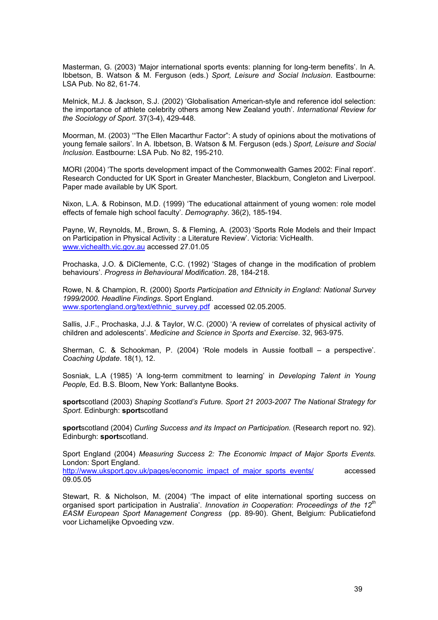Masterman, G. (2003) 'Major international sports events: planning for long-term benefits'. In A. Ibbetson, B. Watson & M. Ferguson (eds.) *Sport, Leisure and Social Inclusion*. Eastbourne: LSA Pub. No 82, 61-74.

Melnick, M.J. & Jackson, S.J. (2002) 'Globalisation American-style and reference idol selection: the importance of athlete celebrity others among New Zealand youth'. *International Review for the Sociology of Sport*. 37(3-4), 429-448.

Moorman, M. (2003) '"The Ellen Macarthur Factor": A study of opinions about the motivations of young female sailors'. In A. Ibbetson, B. Watson & M. Ferguson (eds.) *Sport, Leisure and Social Inclusion*. Eastbourne: LSA Pub. No 82, 195-210.

MORI (2004) 'The sports development impact of the Commonwealth Games 2002: Final report'. Research Conducted for UK Sport in Greater Manchester, Blackburn, Congleton and Liverpool. Paper made available by UK Sport.

Nixon, L.A. & Robinson, M.D. (1999) 'The educational attainment of young women: role model effects of female high school faculty'. *Demography*. 36(2), 185-194.

Payne, W, Reynolds, M., Brown, S. & Fleming, A. (2003) 'Sports Role Models and their Impact on Participation in Physical Activity : a Literature Review'. Victoria: VicHealth. www.vichealth.vic.gov.au accessed 27.01.05

Prochaska, J.O. & DiClemente, C.C. (1992) 'Stages of change in the modification of problem behaviours'. *Progress in Behavioural Modification*. 28, 184-218.

Rowe, N. & Champion, R. (2000) *Sports Participation and Ethnicity in England: National Survey 1999/2000. Headline Findings*. Sport England. www.sportengland.org/text/ethnic\_survey.pdf accessed 02.05.2005.

Sallis, J.F., Prochaska, J.J. & Taylor, W.C. (2000) 'A review of correlates of physical activity of children and adolescents'. *Medicine and Science in Sports and Exercise*. 32, 963-975.

Sherman, C. & Schookman, P. (2004) 'Role models in Aussie football – a perspective'. *Coaching Update*. 18(1), 12.

Sosniak, L.A (1985) 'A long-term commitment to learning' in *Developing Talent in Young People,* Ed. B.S. Bloom, New York: Ballantyne Books.

**sport**scotland (2003) *Shaping Scotland's Future. Sport 21 2003-2007 The National Strategy for Sport*. Edinburgh: **sport**scotland

**sport**scotland (2004) *Curling Success and its Impact on Participation.* (Research report no. 92). Edinburgh: **sport**scotland.

Sport England (2004) *Measuring Success 2: The Economic Impact of Major Sports Events.* London: Sport England.

http://www.uksport.gov.uk/pages/economic\_impact\_of\_major\_sports\_events/ accessed 09.05.05

Stewart, R. & Nicholson, M. (2004) 'The impact of elite international sporting success on organised sport participation in Australia'. *Innovation in Cooperation*: *Proceedings of the 12th EASM European Sport Management Congress* (pp. 89-90). Ghent, Belgium: Publicatiefond voor Lichamelijke Opvoeding vzw.